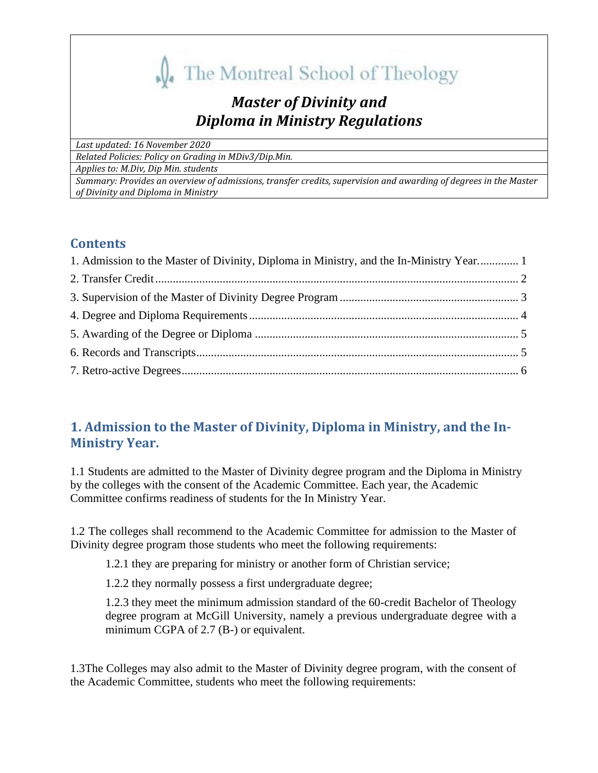**N**<sub>4</sub> The Montreal School of Theology

# *Master of Divinity and Diploma in Ministry Regulations*

*Last updated: 16 November 2020*

*Related Policies: Policy on Grading in MDiv3/Dip.Min.*

*Applies to: M.Div, Dip Min. students*

*Summary: Provides an overview of admissions, transfer credits, supervision and awarding of degrees in the Master of Divinity and Diploma in Ministry*

## **Contents**

| 1. Admission to the Master of Divinity, Diploma in Ministry, and the In-Ministry Year 1 |  |
|-----------------------------------------------------------------------------------------|--|
|                                                                                         |  |
|                                                                                         |  |
|                                                                                         |  |
|                                                                                         |  |
|                                                                                         |  |
|                                                                                         |  |

## <span id="page-0-0"></span>**1. Admission to the Master of Divinity, Diploma in Ministry, and the In-Ministry Year.**

1.1 Students are admitted to the Master of Divinity degree program and the Diploma in Ministry by the colleges with the consent of the Academic Committee. Each year, the Academic Committee confirms readiness of students for the In Ministry Year.

1.2 The colleges shall recommend to the Academic Committee for admission to the Master of Divinity degree program those students who meet the following requirements:

1.2.1 they are preparing for ministry or another form of Christian service;

1.2.2 they normally possess a first undergraduate degree;

1.2.3 they meet the minimum admission standard of the 60-credit Bachelor of Theology degree program at McGill University, namely a previous undergraduate degree with a minimum CGPA of 2.7 (B-) or equivalent.

1.3The Colleges may also admit to the Master of Divinity degree program, with the consent of the Academic Committee, students who meet the following requirements: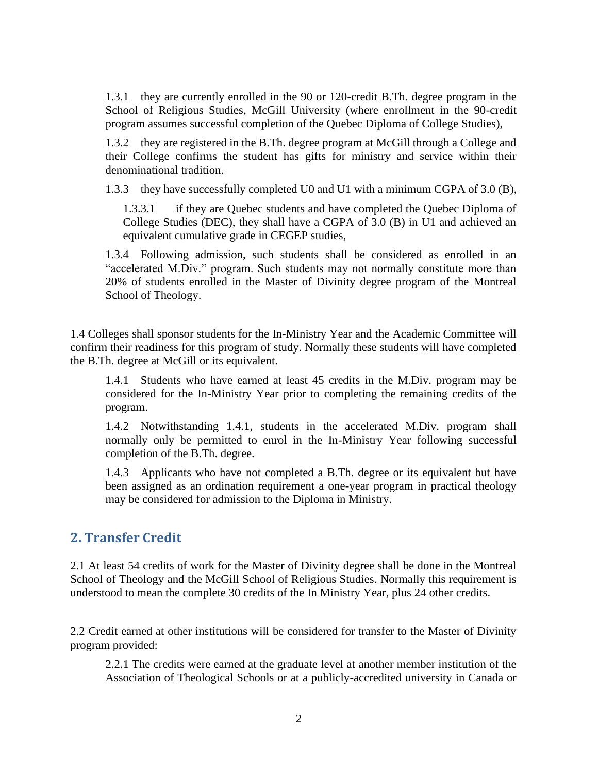1.3.1 they are currently enrolled in the 90 or 120-credit B.Th. degree program in the School of Religious Studies, McGill University (where enrollment in the 90-credit program assumes successful completion of the Quebec Diploma of College Studies),

1.3.2 they are registered in the B.Th. degree program at McGill through a College and their College confirms the student has gifts for ministry and service within their denominational tradition.

1.3.3 they have successfully completed U0 and U1 with a minimum CGPA of 3.0 (B),

1.3.3.1 if they are Quebec students and have completed the Quebec Diploma of College Studies (DEC), they shall have a CGPA of 3.0 (B) in U1 and achieved an equivalent cumulative grade in CEGEP studies,

1.3.4 Following admission, such students shall be considered as enrolled in an "accelerated M.Div." program. Such students may not normally constitute more than 20% of students enrolled in the Master of Divinity degree program of the Montreal School of Theology.

1.4 Colleges shall sponsor students for the In-Ministry Year and the Academic Committee will confirm their readiness for this program of study. Normally these students will have completed the B.Th. degree at McGill or its equivalent.

1.4.1 Students who have earned at least 45 credits in the M.Div. program may be considered for the In-Ministry Year prior to completing the remaining credits of the program.

1.4.2 Notwithstanding 1.4.1, students in the accelerated M.Div. program shall normally only be permitted to enrol in the In-Ministry Year following successful completion of the B.Th. degree.

1.4.3 Applicants who have not completed a B.Th. degree or its equivalent but have been assigned as an ordination requirement a one-year program in practical theology may be considered for admission to the Diploma in Ministry.

#### <span id="page-1-0"></span>**2. Transfer Credit**

2.1 At least 54 credits of work for the Master of Divinity degree shall be done in the Montreal School of Theology and the McGill School of Religious Studies. Normally this requirement is understood to mean the complete 30 credits of the In Ministry Year, plus 24 other credits.

2.2 Credit earned at other institutions will be considered for transfer to the Master of Divinity program provided:

2.2.1 The credits were earned at the graduate level at another member institution of the Association of Theological Schools or at a publicly-accredited university in Canada or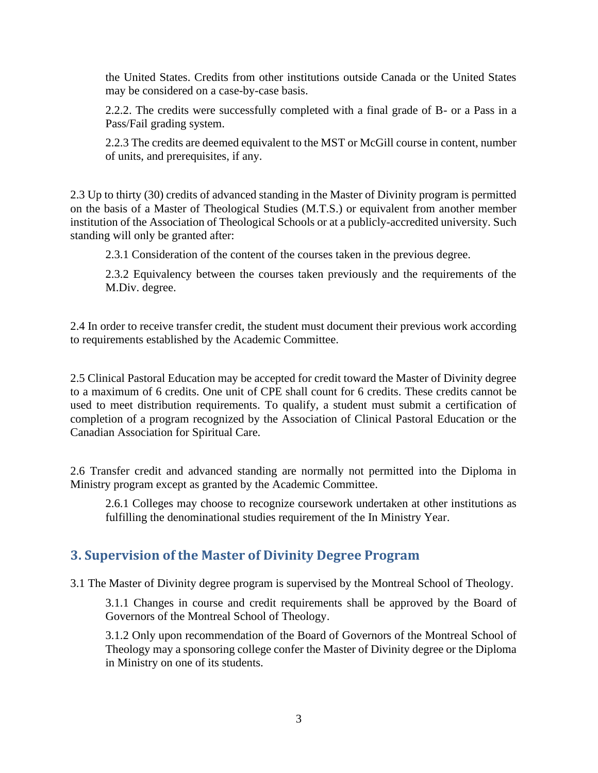the United States. Credits from other institutions outside Canada or the United States may be considered on a case-by-case basis.

2.2.2. The credits were successfully completed with a final grade of B- or a Pass in a Pass/Fail grading system.

2.2.3 The credits are deemed equivalent to the MST or McGill course in content, number of units, and prerequisites, if any.

2.3 Up to thirty (30) credits of advanced standing in the Master of Divinity program is permitted on the basis of a Master of Theological Studies (M.T.S.) or equivalent from another member institution of the Association of Theological Schools or at a publicly-accredited university. Such standing will only be granted after:

2.3.1 Consideration of the content of the courses taken in the previous degree.

2.3.2 Equivalency between the courses taken previously and the requirements of the M.Div. degree.

2.4 In order to receive transfer credit, the student must document their previous work according to requirements established by the Academic Committee.

2.5 Clinical Pastoral Education may be accepted for credit toward the Master of Divinity degree to a maximum of 6 credits. One unit of CPE shall count for 6 credits. These credits cannot be used to meet distribution requirements. To qualify, a student must submit a certification of completion of a program recognized by the Association of Clinical Pastoral Education or the Canadian Association for Spiritual Care.

2.6 Transfer credit and advanced standing are normally not permitted into the Diploma in Ministry program except as granted by the Academic Committee.

2.6.1 Colleges may choose to recognize coursework undertaken at other institutions as fulfilling the denominational studies requirement of the In Ministry Year.

#### <span id="page-2-0"></span>**3. Supervision of the Master of Divinity Degree Program**

3.1 The Master of Divinity degree program is supervised by the Montreal School of Theology.

3.1.1 Changes in course and credit requirements shall be approved by the Board of Governors of the Montreal School of Theology.

3.1.2 Only upon recommendation of the Board of Governors of the Montreal School of Theology may a sponsoring college confer the Master of Divinity degree or the Diploma in Ministry on one of its students.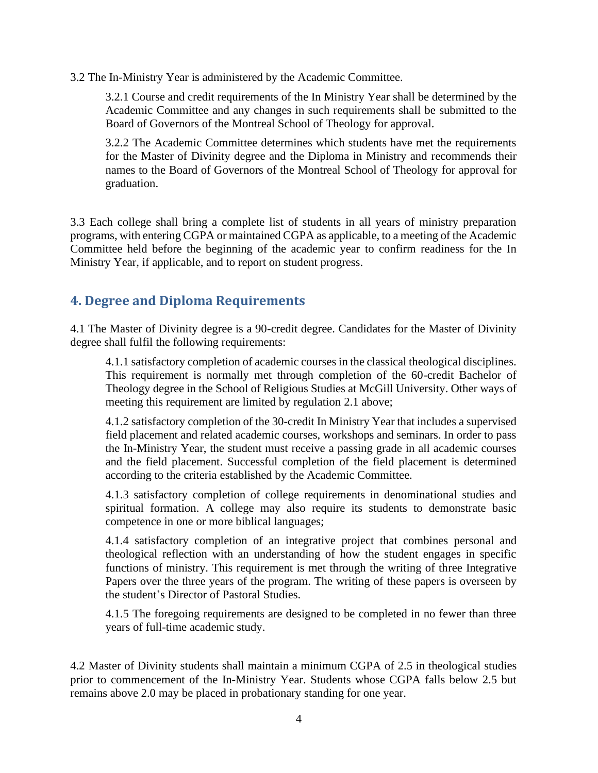3.2 The In-Ministry Year is administered by the Academic Committee.

3.2.1 Course and credit requirements of the In Ministry Year shall be determined by the Academic Committee and any changes in such requirements shall be submitted to the Board of Governors of the Montreal School of Theology for approval.

3.2.2 The Academic Committee determines which students have met the requirements for the Master of Divinity degree and the Diploma in Ministry and recommends their names to the Board of Governors of the Montreal School of Theology for approval for graduation.

3.3 Each college shall bring a complete list of students in all years of ministry preparation programs, with entering CGPA or maintained CGPA as applicable, to a meeting of the Academic Committee held before the beginning of the academic year to confirm readiness for the In Ministry Year, if applicable, and to report on student progress.

#### <span id="page-3-0"></span>**4. Degree and Diploma Requirements**

4.1 The Master of Divinity degree is a 90-credit degree. Candidates for the Master of Divinity degree shall fulfil the following requirements:

4.1.1 satisfactory completion of academic courses in the classical theological disciplines. This requirement is normally met through completion of the 60-credit Bachelor of Theology degree in the School of Religious Studies at McGill University. Other ways of meeting this requirement are limited by regulation 2.1 above;

4.1.2 satisfactory completion of the 30-credit In Ministry Year that includes a supervised field placement and related academic courses, workshops and seminars. In order to pass the In-Ministry Year, the student must receive a passing grade in all academic courses and the field placement. Successful completion of the field placement is determined according to the criteria established by the Academic Committee.

4.1.3 satisfactory completion of college requirements in denominational studies and spiritual formation. A college may also require its students to demonstrate basic competence in one or more biblical languages;

4.1.4 satisfactory completion of an integrative project that combines personal and theological reflection with an understanding of how the student engages in specific functions of ministry. This requirement is met through the writing of three Integrative Papers over the three years of the program. The writing of these papers is overseen by the student's Director of Pastoral Studies.

4.1.5 The foregoing requirements are designed to be completed in no fewer than three years of full-time academic study.

4.2 Master of Divinity students shall maintain a minimum CGPA of 2.5 in theological studies prior to commencement of the In-Ministry Year. Students whose CGPA falls below 2.5 but remains above 2.0 may be placed in probationary standing for one year.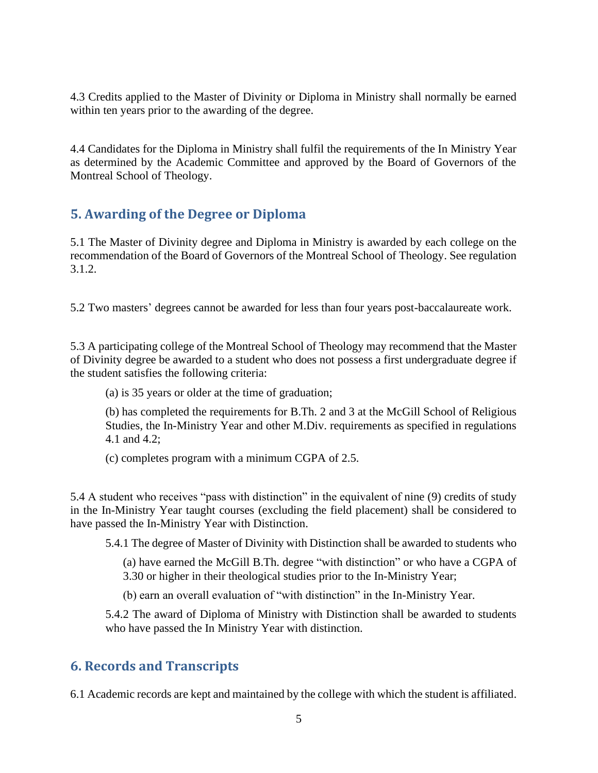4.3 Credits applied to the Master of Divinity or Diploma in Ministry shall normally be earned within ten years prior to the awarding of the degree.

4.4 Candidates for the Diploma in Ministry shall fulfil the requirements of the In Ministry Year as determined by the Academic Committee and approved by the Board of Governors of the Montreal School of Theology.

## <span id="page-4-0"></span>**5. Awarding of the Degree or Diploma**

5.1 The Master of Divinity degree and Diploma in Ministry is awarded by each college on the recommendation of the Board of Governors of the Montreal School of Theology. See regulation 3.1.2.

5.2 Two masters' degrees cannot be awarded for less than four years post-baccalaureate work.

5.3 A participating college of the Montreal School of Theology may recommend that the Master of Divinity degree be awarded to a student who does not possess a first undergraduate degree if the student satisfies the following criteria:

(a) is 35 years or older at the time of graduation;

(b) has completed the requirements for B.Th. 2 and 3 at the McGill School of Religious Studies, the In-Ministry Year and other M.Div. requirements as specified in regulations 4.1 and 4.2;

(c) completes program with a minimum CGPA of 2.5.

5.4 A student who receives "pass with distinction" in the equivalent of nine (9) credits of study in the In-Ministry Year taught courses (excluding the field placement) shall be considered to have passed the In-Ministry Year with Distinction.

5.4.1 The degree of Master of Divinity with Distinction shall be awarded to students who

(a) have earned the McGill B.Th. degree "with distinction" or who have a CGPA of 3.30 or higher in their theological studies prior to the In-Ministry Year;

(b) earn an overall evaluation of "with distinction" in the In-Ministry Year.

5.4.2 The award of Diploma of Ministry with Distinction shall be awarded to students who have passed the In Ministry Year with distinction.

## <span id="page-4-1"></span>**6. Records and Transcripts**

6.1 Academic records are kept and maintained by the college with which the student is affiliated.